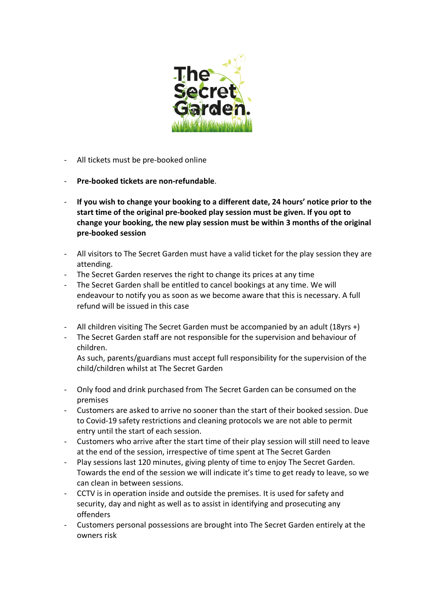

- All tickets must be pre-booked online
- **Pre-booked tickets are non-refundable**.
- **If you wish to change your booking to a different date, 24 hours' notice prior to the start time of the original pre-booked play session must be given. If you opt to change your booking, the new play session must be within 3 months of the original pre-booked session**
- All visitors to The Secret Garden must have a valid ticket for the play session they are attending.
- The Secret Garden reserves the right to change its prices at any time
- The Secret Garden shall be entitled to cancel bookings at any time. We will endeavour to notify you as soon as we become aware that this is necessary. A full refund will be issued in this case
- All children visiting The Secret Garden must be accompanied by an adult (18yrs +)
- The Secret Garden staff are not responsible for the supervision and behaviour of children.

As such, parents/guardians must accept full responsibility for the supervision of the child/children whilst at The Secret Garden

- Only food and drink purchased from The Secret Garden can be consumed on the premises
- Customers are asked to arrive no sooner than the start of their booked session. Due to Covid-19 safety restrictions and cleaning protocols we are not able to permit entry until the start of each session.
- Customers who arrive after the start time of their play session will still need to leave at the end of the session, irrespective of time spent at The Secret Garden
- Play sessions last 120 minutes, giving plenty of time to enjoy The Secret Garden. Towards the end of the session we will indicate it's time to get ready to leave, so we can clean in between sessions.
- CCTV is in operation inside and outside the premises. It is used for safety and security, day and night as well as to assist in identifying and prosecuting any offenders
- Customers personal possessions are brought into The Secret Garden entirely at the owners risk